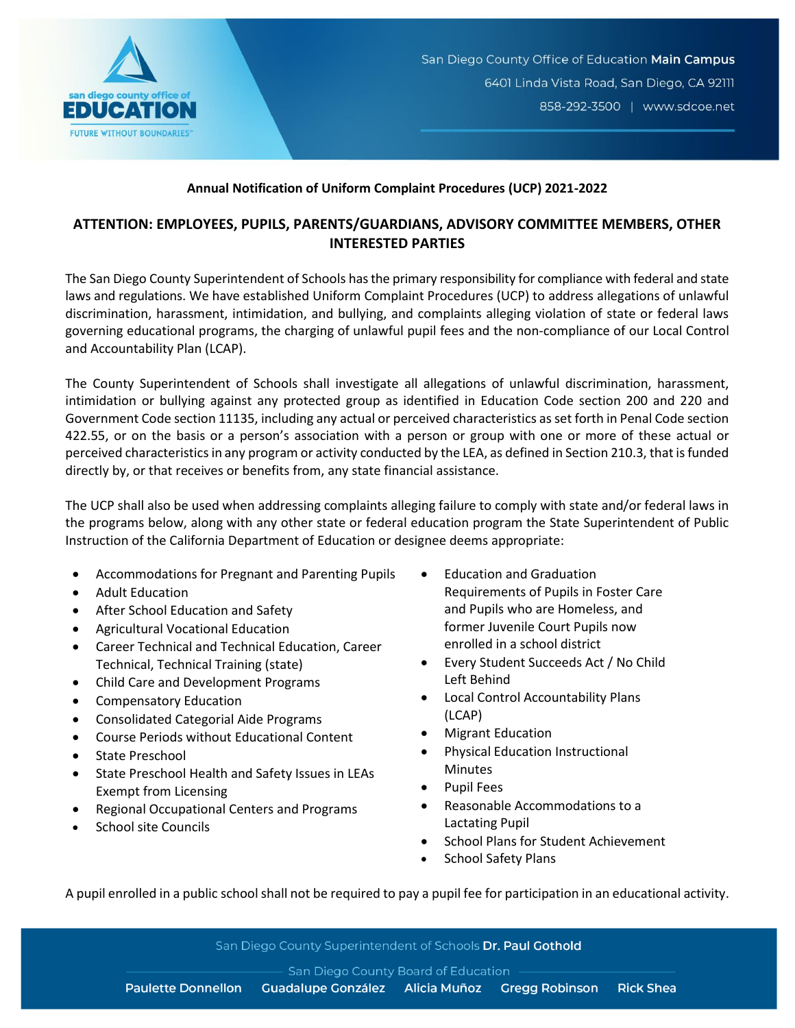

## **Annual Notification of Uniform Complaint Procedures (UCP) 2021-2022**

## **ATTENTION: EMPLOYEES, PUPILS, PARENTS/GUARDIANS, ADVISORY COMMITTEE MEMBERS, OTHER INTERESTED PARTIES**

The San Diego County Superintendent of Schools has the primary responsibility for compliance with federal and state laws and regulations. We have established Uniform Complaint Procedures (UCP) to address allegations of unlawful discrimination, harassment, intimidation, and bullying, and complaints alleging violation of state or federal laws governing educational programs, the charging of unlawful pupil fees and the non-compliance of our Local Control and Accountability Plan (LCAP).

The County Superintendent of Schools shall investigate all allegations of unlawful discrimination, harassment, intimidation or bullying against any protected group as identified in Education Code section 200 and 220 and Government Code section 11135, including any actual or perceived characteristics as set forth in Penal Code section 422.55, or on the basis or a person's association with a person or group with one or more of these actual or perceived characteristics in any program or activity conducted by the LEA, as defined in Section 210.3, that is funded directly by, or that receives or benefits from, any state financial assistance.

The UCP shall also be used when addressing complaints alleging failure to comply with state and/or federal laws in the programs below, along with any other state or federal education program the State Superintendent of Public Instruction of the California Department of Education or designee deems appropriate:

- Accommodations for Pregnant and Parenting Pupils
- Adult Education
- After School Education and Safety
- Agricultural Vocational Education
- Career Technical and Technical Education, Career Technical, Technical Training (state)
- Child Care and Development Programs
- Compensatory Education
- Consolidated Categorial Aide Programs
- Course Periods without Educational Content
- State Preschool
- State Preschool Health and Safety Issues in LEAs Exempt from Licensing
- Regional Occupational Centers and Programs
- School site Councils
- Education and Graduation Requirements of Pupils in Foster Care and Pupils who are Homeless, and former Juvenile Court Pupils now enrolled in a school district
- Every Student Succeeds Act / No Child Left Behind
- Local Control Accountability Plans (LCAP)
- Migrant Education
- Physical Education Instructional Minutes
- Pupil Fees
- Reasonable Accommodations to a Lactating Pupil
- School Plans for Student Achievement
- School Safety Plans

A pupil enrolled in a public school shall not be required to pay a pupil fee for participation in an educational activity.

San Diego County Superintendent of Schools Dr. Paul Gothold

San Diego County Board of Education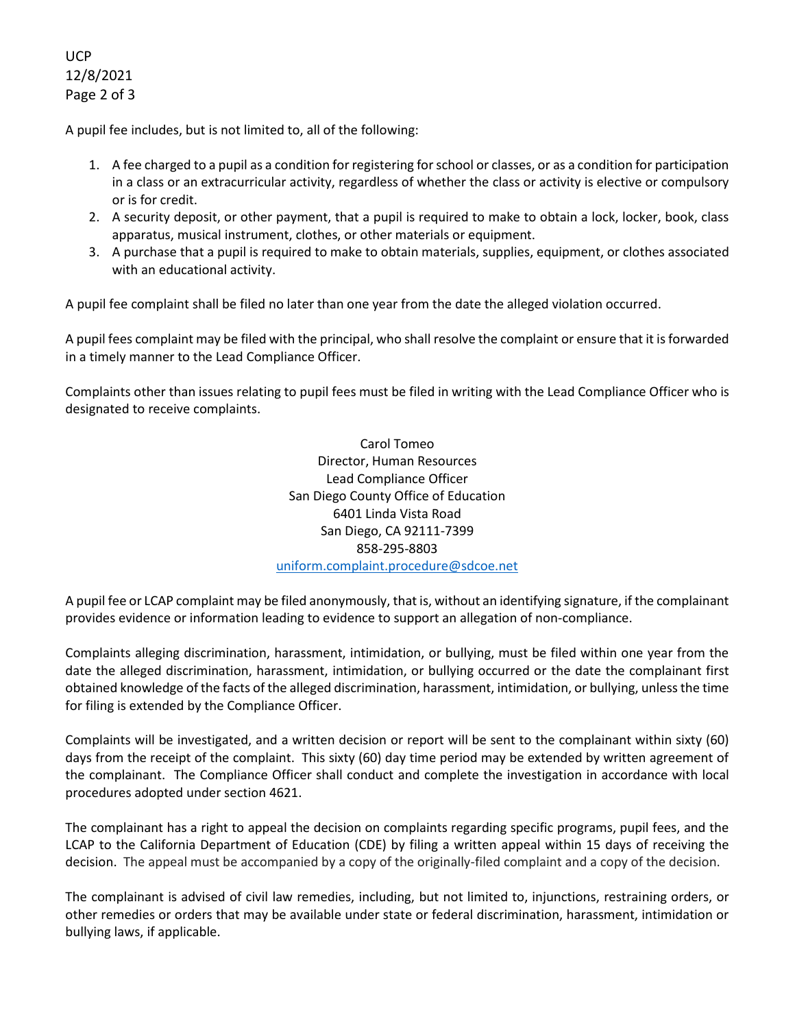UCP 12/8/2021 Page 2 of 3

A pupil fee includes, but is not limited to, all of the following:

- 1. A fee charged to a pupil as a condition for registering for school or classes, or as a condition for participation in a class or an extracurricular activity, regardless of whether the class or activity is elective or compulsory or is for credit.
- 2. A security deposit, or other payment, that a pupil is required to make to obtain a lock, locker, book, class apparatus, musical instrument, clothes, or other materials or equipment.
- 3. A purchase that a pupil is required to make to obtain materials, supplies, equipment, or clothes associated with an educational activity.

A pupil fee complaint shall be filed no later than one year from the date the alleged violation occurred.

A pupil fees complaint may be filed with the principal, who shall resolve the complaint or ensure that it is forwarded in a timely manner to the Lead Compliance Officer.

Complaints other than issues relating to pupil fees must be filed in writing with the Lead Compliance Officer who is designated to receive complaints.

> Carol Tomeo Director, Human Resources Lead Compliance Officer San Diego County Office of Education 6401 Linda Vista Road San Diego, CA 92111-7399 858-295-8803 [uniform.complaint.procedure@sdcoe.net](mailto:uniform.complaint.procedure@sdcoe.net)

A pupil fee or LCAP complaint may be filed anonymously, that is, without an identifying signature, if the complainant provides evidence or information leading to evidence to support an allegation of non-compliance.

Complaints alleging discrimination, harassment, intimidation, or bullying, must be filed within one year from the date the alleged discrimination, harassment, intimidation, or bullying occurred or the date the complainant first obtained knowledge of the facts of the alleged discrimination, harassment, intimidation, or bullying, unless the time for filing is extended by the Compliance Officer.

Complaints will be investigated, and a written decision or report will be sent to the complainant within sixty (60) days from the receipt of the complaint. This sixty (60) day time period may be extended by written agreement of the complainant. The Compliance Officer shall conduct and complete the investigation in accordance with local procedures adopted under section 4621.

The complainant has a right to appeal the decision on complaints regarding specific programs, pupil fees, and the LCAP to the California Department of Education (CDE) by filing a written appeal within 15 days of receiving the decision. The appeal must be accompanied by a copy of the originally-filed complaint and a copy of the decision.

The complainant is advised of civil law remedies, including, but not limited to, injunctions, restraining orders, or other remedies or orders that may be available under state or federal discrimination, harassment, intimidation or bullying laws, if applicable.